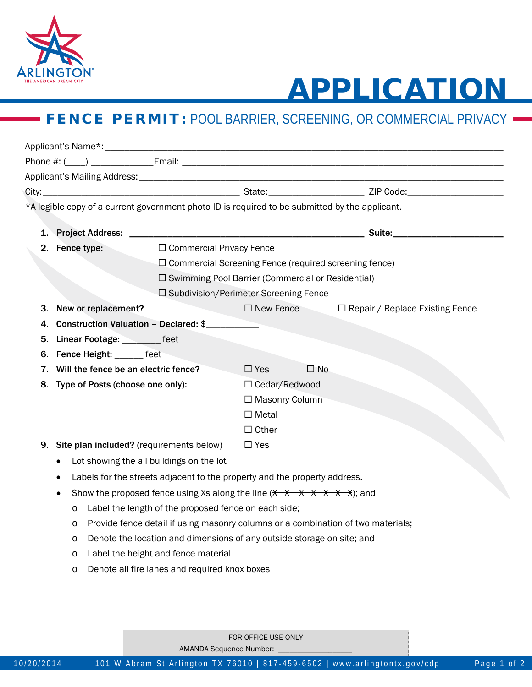

## APPLICATION

## **FENCE PERMIT: POOL BARRIER, SCREENING, OR COMMERCIAL PRIVACY**

|  |                                          | *A legible copy of a current government photo ID is required to be submitted by the applicant.                      |                      |              |                                                         |
|--|------------------------------------------|---------------------------------------------------------------------------------------------------------------------|----------------------|--------------|---------------------------------------------------------|
|  |                                          |                                                                                                                     |                      |              |                                                         |
|  |                                          |                                                                                                                     |                      |              | Suite: <u>www.community.com and the second second</u>   |
|  | 2. Fence type:                           | □ Commercial Privacy Fence                                                                                          |                      |              |                                                         |
|  |                                          | $\Box$ Commercial Screening Fence (required screening fence)<br>□ Swimming Pool Barrier (Commercial or Residential) |                      |              |                                                         |
|  |                                          | $\square$ Subdivision/Perimeter Screening Fence                                                                     |                      |              |                                                         |
|  | New or replacement?                      |                                                                                                                     |                      |              | $\Box$ New Fence $\Box$ Repair / Replace Existing Fence |
|  |                                          | Construction Valuation - Declared: \$                                                                               |                      |              |                                                         |
|  | Linear Footage: ________ feet            |                                                                                                                     |                      |              |                                                         |
|  | Fence Height: ______ feet                |                                                                                                                     |                      |              |                                                         |
|  | Will the fence be an electric fence?     |                                                                                                                     | $\Box$ Yes           | $\square$ No |                                                         |
|  | 8. Type of Posts (choose one only):      |                                                                                                                     | $\Box$ Cedar/Redwood |              |                                                         |
|  |                                          | □ Masonry Column                                                                                                    |                      |              |                                                         |
|  |                                          |                                                                                                                     | $\Box$ Metal         |              |                                                         |
|  |                                          |                                                                                                                     | $\Box$ Other         |              |                                                         |
|  |                                          | Site plan included? (requirements below)                                                                            | $\Box$ Yes           |              |                                                         |
|  | Lot showing the all buildings on the lot |                                                                                                                     |                      |              |                                                         |
|  |                                          | Labels for the streets adjacent to the property and the property address.                                           |                      |              |                                                         |
|  |                                          | Show the proposed fence using Xs along the line $(\times \times \times \times \times \times \times)$ ; and          |                      |              |                                                         |
|  | O                                        | Label the length of the proposed fence on each side;                                                                |                      |              |                                                         |
|  | O                                        | Provide fence detail if using masonry columns or a combination of two materials;                                    |                      |              |                                                         |
|  | O                                        | Denote the location and dimensions of any outside storage on site; and                                              |                      |              |                                                         |
|  | O                                        | Label the height and fence material                                                                                 |                      |              |                                                         |
|  | $\circ$                                  | Denote all fire lanes and required knox boxes                                                                       |                      |              |                                                         |

FOR OFFICE USE ONLY

AMANDA Sequence Number: